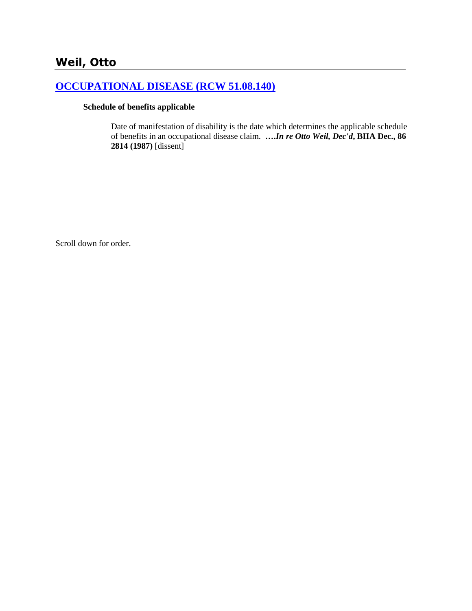# **[OCCUPATIONAL DISEASE \(RCW 51.08.140\)](http://www.biia.wa.gov/SDSubjectIndex.html#OCCUPATIONAL_DISEASE)**

#### **Schedule of benefits applicable**

Date of manifestation of disability is the date which determines the applicable schedule of benefits in an occupational disease claim. **….***In re Otto Weil, Dec'd***, BIIA Dec., 86 2814 (1987)** [dissent]

Scroll down for order.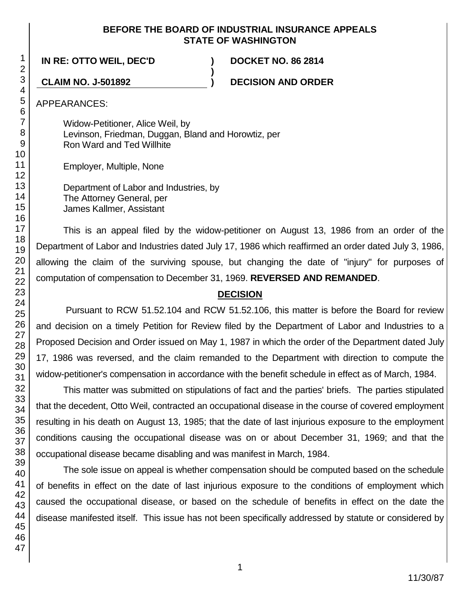#### **BEFORE THE BOARD OF INDUSTRIAL INSURANCE APPEALS STATE OF WASHINGTON**

**)**

**IN RE: OTTO WEIL, DEC'D ) DOCKET NO. 86 2814**

**CLAIM NO. J-501892 ) DECISION AND ORDER**

APPEARANCES:

Widow-Petitioner, Alice Weil, by Levinson, Friedman, Duggan, Bland and Horowtiz, per Ron Ward and Ted Willhite

Employer, Multiple, None

Department of Labor and Industries, by The Attorney General, per James Kallmer, Assistant

This is an appeal filed by the widow-petitioner on August 13, 1986 from an order of the Department of Labor and Industries dated July 17, 1986 which reaffirmed an order dated July 3, 1986, allowing the claim of the surviving spouse, but changing the date of "injury" for purposes of computation of compensation to December 31, 1969. **REVERSED AND REMANDED**.

# **DECISION**

Pursuant to RCW 51.52.104 and RCW 51.52.106, this matter is before the Board for review and decision on a timely Petition for Review filed by the Department of Labor and Industries to a Proposed Decision and Order issued on May 1, 1987 in which the order of the Department dated July 17, 1986 was reversed, and the claim remanded to the Department with direction to compute the widow-petitioner's compensation in accordance with the benefit schedule in effect as of March, 1984.

This matter was submitted on stipulations of fact and the parties' briefs. The parties stipulated that the decedent, Otto Weil, contracted an occupational disease in the course of covered employment resulting in his death on August 13, 1985; that the date of last injurious exposure to the employment conditions causing the occupational disease was on or about December 31, 1969; and that the occupational disease became disabling and was manifest in March, 1984.

The sole issue on appeal is whether compensation should be computed based on the schedule of benefits in effect on the date of last injurious exposure to the conditions of employment which caused the occupational disease, or based on the schedule of benefits in effect on the date the disease manifested itself. This issue has not been specifically addressed by statute or considered by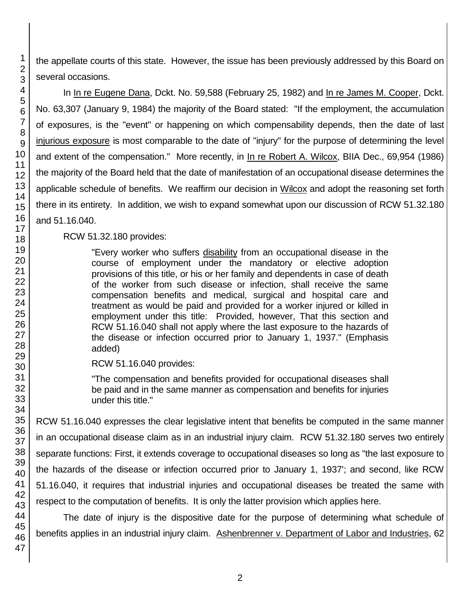the appellate courts of this state. However, the issue has been previously addressed by this Board on several occasions.

In In re Eugene Dana, Dckt. No. 59,588 (February 25, 1982) and In re James M. Cooper, Dckt. No. 63,307 (January 9, 1984) the majority of the Board stated: "If the employment, the accumulation of exposures, is the "event" or happening on which compensability depends, then the date of last injurious exposure is most comparable to the date of "injury" for the purpose of determining the level and extent of the compensation." More recently, in In re Robert A. Wilcox, BIIA Dec., 69,954 (1986) the majority of the Board held that the date of manifestation of an occupational disease determines the applicable schedule of benefits. We reaffirm our decision in Wilcox and adopt the reasoning set forth there in its entirety. In addition, we wish to expand somewhat upon our discussion of RCW 51.32.180 and 51.16.040.

## RCW 51.32.180 provides:

"Every worker who suffers disability from an occupational disease in the course of employment under the mandatory or elective adoption provisions of this title, or his or her family and dependents in case of death of the worker from such disease or infection, shall receive the same compensation benefits and medical, surgical and hospital care and treatment as would be paid and provided for a worker injured or killed in employment under this title: Provided, however, That this section and RCW 51.16.040 shall not apply where the last exposure to the hazards of the disease or infection occurred prior to January 1, 1937." (Emphasis added)

RCW 51.16.040 provides:

"The compensation and benefits provided for occupational diseases shall be paid and in the same manner as compensation and benefits for injuries under this title."

RCW 51.16.040 expresses the clear legislative intent that benefits be computed in the same manner in an occupational disease claim as in an industrial injury claim. RCW 51.32.180 serves two entirely separate functions: First, it extends coverage to occupational diseases so long as "the last exposure to the hazards of the disease or infection occurred prior to January 1, 1937'; and second, like RCW 51.16.040, it requires that industrial injuries and occupational diseases be treated the same with respect to the computation of benefits. It is only the latter provision which applies here.

The date of injury is the dispositive date for the purpose of determining what schedule of benefits applies in an industrial injury claim. Ashenbrenner v. Department of Labor and Industries, 62

1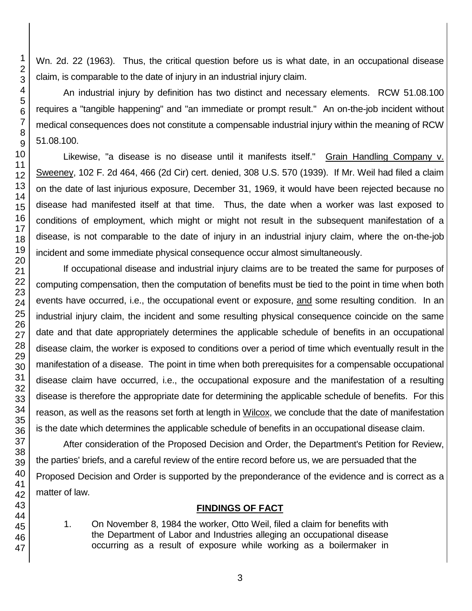Wn. 2d. 22 (1963). Thus, the critical question before us is what date, in an occupational disease claim, is comparable to the date of injury in an industrial injury claim.

An industrial injury by definition has two distinct and necessary elements. RCW 51.08.100 requires a "tangible happening" and "an immediate or prompt result." An on-the-job incident without medical consequences does not constitute a compensable industrial injury within the meaning of RCW

Likewise, "a disease is no disease until it manifests itself." Grain Handling Company v. Sweeney, 102 F. 2d 464, 466 (2d Cir) cert. denied, 308 U.S. 570 (1939). If Mr. Weil had filed a claim on the date of last injurious exposure, December 31, 1969, it would have been rejected because no disease had manifested itself at that time. Thus, the date when a worker was last exposed to conditions of employment, which might or might not result in the subsequent manifestation of a disease, is not comparable to the date of injury in an industrial injury claim, where the on-the-job incident and some immediate physical consequence occur almost simultaneously.

If occupational disease and industrial injury claims are to be treated the same for purposes of computing compensation, then the computation of benefits must be tied to the point in time when both events have occurred, i.e., the occupational event or exposure, and some resulting condition. In an industrial injury claim, the incident and some resulting physical consequence coincide on the same date and that date appropriately determines the applicable schedule of benefits in an occupational disease claim, the worker is exposed to conditions over a period of time which eventually result in the manifestation of a disease. The point in time when both prerequisites for a compensable occupational disease claim have occurred, i.e., the occupational exposure and the manifestation of a resulting disease is therefore the appropriate date for determining the applicable schedule of benefits. For this reason, as well as the reasons set forth at length in Wilcox, we conclude that the date of manifestation is the date which determines the applicable schedule of benefits in an occupational disease claim.

After consideration of the Proposed Decision and Order, the Department's Petition for Review, the parties' briefs, and a careful review of the entire record before us, we are persuaded that the Proposed Decision and Order is supported by the preponderance of the evidence and is correct as a matter of law.

# **FINDINGS OF FACT**

1. On November 8, 1984 the worker, Otto Weil, filed a claim for benefits with the Department of Labor and Industries alleging an occupational disease occurring as a result of exposure while working as a boilermaker in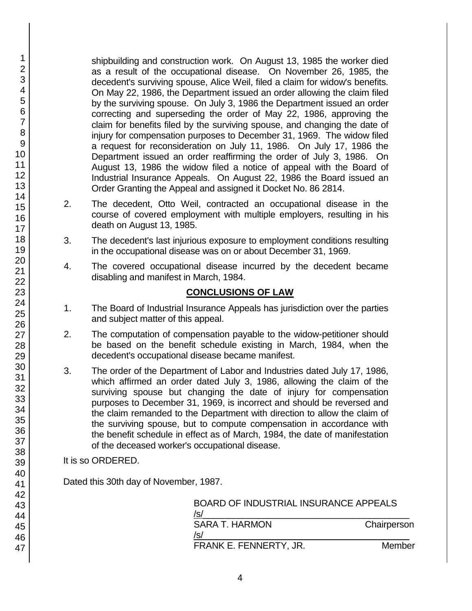shipbuilding and construction work. On August 13, 1985 the worker died as a result of the occupational disease. On November 26, 1985, the decedent's surviving spouse, Alice Weil, filed a claim for widow's benefits. On May 22, 1986, the Department issued an order allowing the claim filed by the surviving spouse. On July 3, 1986 the Department issued an order correcting and superseding the order of May 22, 1986, approving the claim for benefits filed by the surviving spouse, and changing the date of injury for compensation purposes to December 31, 1969. The widow filed a request for reconsideration on July 11, 1986. On July 17, 1986 the Department issued an order reaffirming the order of July 3, 1986. On August 13, 1986 the widow filed a notice of appeal with the Board of Industrial Insurance Appeals. On August 22, 1986 the Board issued an Order Granting the Appeal and assigned it Docket No. 86 2814.

- 2. The decedent, Otto Weil, contracted an occupational disease in the course of covered employment with multiple employers, resulting in his death on August 13, 1985.
- 3. The decedent's last injurious exposure to employment conditions resulting in the occupational disease was on or about December 31, 1969.
- 4. The covered occupational disease incurred by the decedent became disabling and manifest in March, 1984.

# **CONCLUSIONS OF LAW**

- 1. The Board of Industrial Insurance Appeals has jurisdiction over the parties and subject matter of this appeal.
- 2. The computation of compensation payable to the widow-petitioner should be based on the benefit schedule existing in March, 1984, when the decedent's occupational disease became manifest.
- 3. The order of the Department of Labor and Industries dated July 17, 1986, which affirmed an order dated July 3, 1986, allowing the claim of the surviving spouse but changing the date of injury for compensation purposes to December 31, 1969, is incorrect and should be reversed and the claim remanded to the Department with direction to allow the claim of the surviving spouse, but to compute compensation in accordance with the benefit schedule in effect as of March, 1984, the date of manifestation of the deceased worker's occupational disease.

### It is so ORDERED.

Dated this 30th day of November, 1987.

| BOARD OF INDUSTRIAL INSURANCE APPEALS<br>/s/ |             |
|----------------------------------------------|-------------|
| SARA T. HARMON<br>/s/                        | Chairperson |
| FRANK E. FENNERTY, JR.                       | Member      |